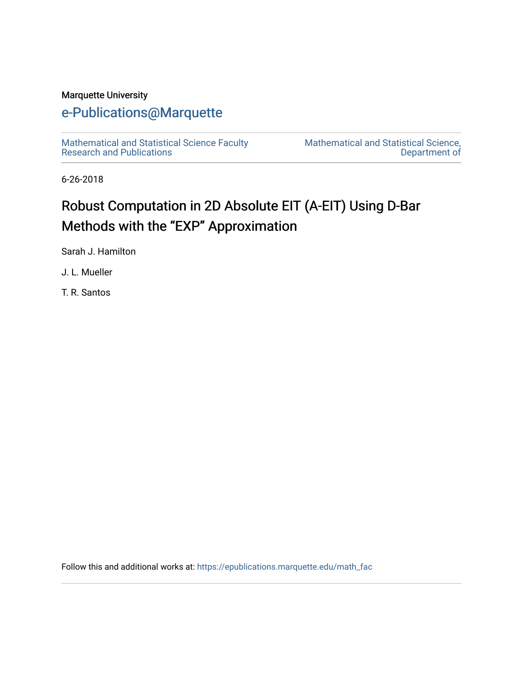## Marquette University

# [e-Publications@Marquette](https://epublications.marquette.edu/)

[Mathematical and Statistical Science Faculty](https://epublications.marquette.edu/math_fac)  [Research and Publications](https://epublications.marquette.edu/math_fac) 

[Mathematical and Statistical Science,](https://epublications.marquette.edu/math)  [Department of](https://epublications.marquette.edu/math) 

6-26-2018

# Robust Computation in 2D Absolute EIT (A-EIT) Using D-Bar Methods with the "EXP" Approximation

Sarah J. Hamilton

J. L. Mueller

T. R. Santos

Follow this and additional works at: [https://epublications.marquette.edu/math\\_fac](https://epublications.marquette.edu/math_fac?utm_source=epublications.marquette.edu%2Fmath_fac%2F33&utm_medium=PDF&utm_campaign=PDFCoverPages)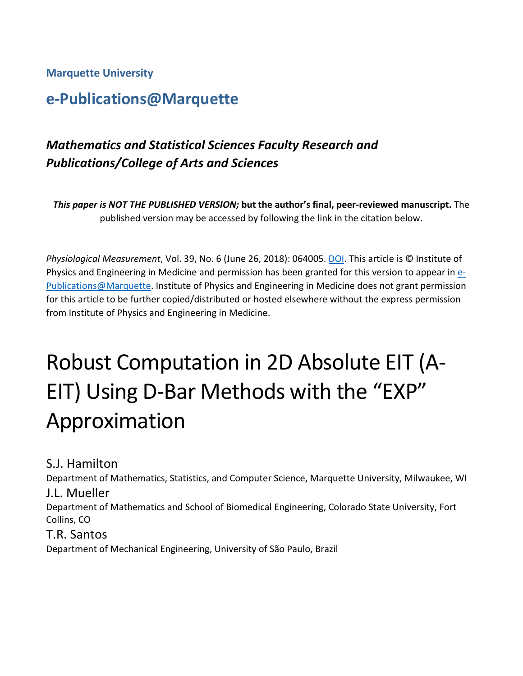**Marquette University**

# **e-Publications@Marquette**

# *Mathematics and Statistical Sciences Faculty Research and Publications/College of Arts and Sciences*

*This paper is NOT THE PUBLISHED VERSION;* **but the author's final, peer-reviewed manuscript.** The published version may be accessed by following the link in the citation below.

*Physiological Measurement*, Vol. 39, No. 6 (June 26, 2018): 064005[. DOI.](https://doi.org/10.1088/1361-6579/aac8b1) This article is © Institute of Physics and Engineering in Medicine and permission has been granted for this version to appear i[n e-](http://epublications.marquette.edu/)[Publications@Marquette.](http://epublications.marquette.edu/) Institute of Physics and Engineering in Medicine does not grant permission for this article to be further copied/distributed or hosted elsewhere without the express permission from Institute of Physics and Engineering in Medicine.

# Robust Computation in 2D Absolute EIT (A-EIT) Using D-Bar Methods with the "EXP" Approximation

S.J. Hamilton

Department of Mathematics, Statistics, and Computer Science, Marquette University, Milwaukee, WI

# J.L. Mueller

Department of Mathematics and School of Biomedical Engineering, Colorado State University, Fort Collins, CO

# T.R. Santos

Department of Mechanical Engineering, University of São Paulo, Brazil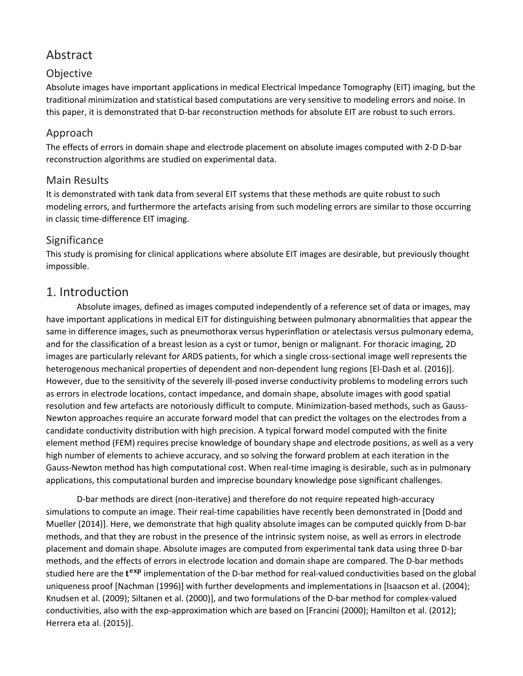# Abstract

# Objective

Absolute images have important applications in medical Electrical Impedance Tomography (EIT) imaging, but the traditional minimization and statistical based computations are very sensitive to modeling errors and noise. In this paper, it is demonstrated that D-bar reconstruction methods for absolute EIT are robust to such errors.

# Approach

The effects of errors in domain shape and electrode placement on absolute images computed with 2-D D-bar reconstruction algorithms are studied on experimental data.

## Main Results

It is demonstrated with tank data from several EIT systems that these methods are quite robust to such modeling errors, and furthermore the artefacts arising from such modeling errors are similar to those occurring in classic time-difference EIT imaging.

## **Significance**

This study is promising for clinical applications where absolute EIT images are desirable, but previously thought impossible.

# 1. Introduction

Absolute images, defined as images computed independently of a reference set of data or images, may have important applications in medical EIT for distinguishing between pulmonary abnormalities that appear the same in difference images, such as pneumothorax versus hyperinflation or atelectasis versus pulmonary edema, and for the classification of a breast lesion as a cyst or tumor, benign or malignant. For thoracic imaging, 2D images are particularly relevant for ARDS patients, for which a single cross-sectional image well represents the heterogenous mechanical properties of dependent and non-dependent lung regions [El-Dash et al. (2016)]. However, due to the sensitivity of the severely ill-posed inverse conductivity problems to modeling errors such as errors in electrode locations, contact impedance, and domain shape, absolute images with good spatial resolution and few artefacts are notoriously difficult to compute. Minimization-based methods, such as Gauss-Newton approaches require an accurate forward model that can predict the voltages on the electrodes from a candidate conductivity distribution with high precision. A typical forward model computed with the finite element method (FEM) requires precise knowledge of boundary shape and electrode positions, as well as a very high number of elements to achieve accuracy, and so solving the forward problem at each iteration in the Gauss-Newton method has high computational cost. When real-time imaging is desirable, such as in pulmonary applications, this computational burden and imprecise boundary knowledge pose significant challenges.

D-bar methods are direct (non-iterative) and therefore do not require repeated high-accuracy simulations to compute an image. Their real-time capabilities have recently been demonstrated in [Dodd and Mueller (2014)]. Here, we demonstrate that high quality absolute images can be computed quickly from D-bar methods, and that they are robust in the presence of the intrinsic system noise, as well as errors in electrode placement and domain shape. Absolute images are computed from experimental tank data using three D-bar methods, and the effects of errors in electrode location and domain shape are compared. The D-bar methods studied here are the  $t^{exp}$  implementation of the D-bar method for real-valued conductivities based on the global uniqueness proof [Nachman (1996)] with further developments and implementations in [Isaacson et al. (2004); Knudsen et al. (2009); Siltanen et al. (2000)], and two formulations of the D-bar method for complex-valued conductivities, also with the exp-approximation which are based on [Francini (2000); Hamilton et al. (2012); Herrera eta al. (2015)].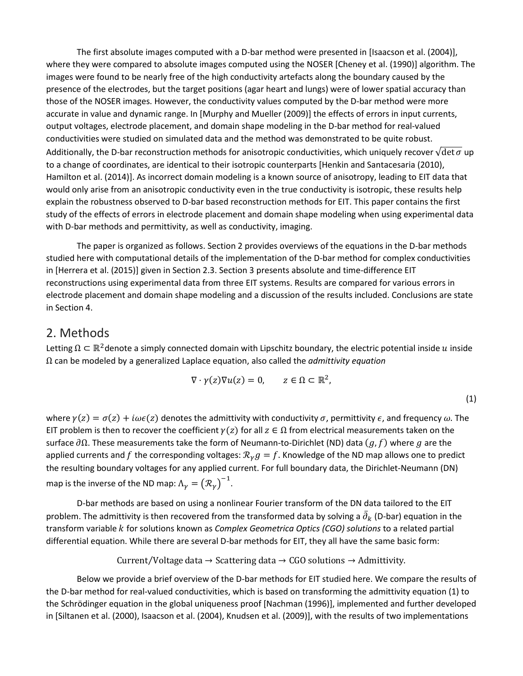The first absolute images computed with a D-bar method were presented in [Isaacson et al. (2004)], where they were compared to absolute images computed using the NOSER [Cheney et al. (1990)] algorithm. The images were found to be nearly free of the high conductivity artefacts along the boundary caused by the presence of the electrodes, but the target positions (agar heart and lungs) were of lower spatial accuracy than those of the NOSER images. However, the conductivity values computed by the D-bar method were more accurate in value and dynamic range. In [Murphy and Mueller (2009)] the effects of errors in input currents, output voltages, electrode placement, and domain shape modeling in the D-bar method for real-valued conductivities were studied on simulated data and the method was demonstrated to be quite robust. Additionally, the D-bar reconstruction methods for anisotropic conductivities, which uniquely recover  $\sqrt{\det \sigma}$  up to a change of coordinates, are identical to their isotropic counterparts [Henkin and Santacesaria (2010), Hamilton et al. (2014)]. As incorrect domain modeling is a known source of anisotropy, leading to EIT data that would only arise from an anisotropic conductivity even in the true conductivity is isotropic, these results help explain the robustness observed to D-bar based reconstruction methods for EIT. This paper contains the first study of the effects of errors in electrode placement and domain shape modeling when using experimental data with D-bar methods and permittivity, as well as conductivity, imaging.

The paper is organized as follows. Section 2 provides overviews of the equations in the D-bar methods studied here with computational details of the implementation of the D-bar method for complex conductivities in [Herrera et al. (2015)] given in Section 2.3. Section 3 presents absolute and time-difference EIT reconstructions using experimental data from three EIT systems. Results are compared for various errors in electrode placement and domain shape modeling and a discussion of the results included. Conclusions are state in Section 4.

## 2. Methods

Letting  $\Omega \subset \mathbb{R}^2$ denote a simply connected domain with Lipschitz boundary, the electric potential inside u inside Ω can be modeled by a generalized Laplace equation, also called the *admittivity equation*

$$
\nabla \cdot \gamma(z) \nabla u(z) = 0, \qquad z \in \Omega \subset \mathbb{R}^2,
$$

(1)

where  $\gamma(z) = \sigma(z) + i\omega\epsilon(z)$  denotes the admittivity with conductivity  $\sigma$ , permittivity  $\epsilon$ , and frequency  $\omega$ . The EIT problem is then to recover the coefficient  $\gamma(z)$  for all  $z \in \Omega$  from electrical measurements taken on the surface  $\partial\Omega$ . These measurements take the form of Neumann-to-Dirichlet (ND) data  $(g, f)$  where g are the applied currents and f the corresponding voltages:  $\mathcal{R}_{\gamma} g = f$ . Knowledge of the ND map allows one to predict the resulting boundary voltages for any applied current. For full boundary data, the Dirichlet-Neumann (DN) map is the inverse of the ND map:  $\Lambda_{\gamma} = (\mathcal{R}_{\gamma})^{-1}$ .

D-bar methods are based on using a nonlinear Fourier transform of the DN data tailored to the EIT problem. The admittivity is then recovered from the transformed data by solving a  $\partial_k$  (D-bar) equation in the transform variable for solutions known as *Complex Geometrica Optics (CGO) solutions* to a related partial differential equation. While there are several D-bar methods for EIT, they all have the same basic form:

Current/Voltage data  $\rightarrow$  Scattering data  $\rightarrow$  CGO solutions  $\rightarrow$  Admittivity.

Below we provide a brief overview of the D-bar methods for EIT studied here. We compare the results of the D-bar method for real-valued conductivities, which is based on transforming the admittivity equation (1) to the Schrödinger equation in the global uniqueness proof [Nachman (1996)], implemented and further developed in [Siltanen et al. (2000), Isaacson et al. (2004), Knudsen et al. (2009)], with the results of two implementations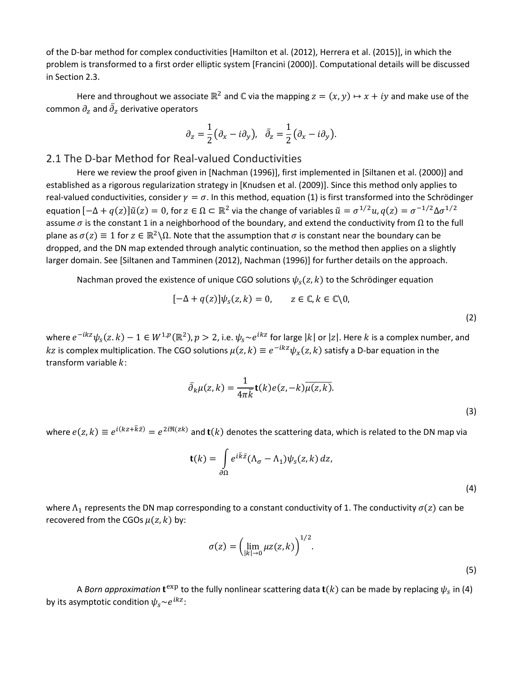of the D-bar method for complex conductivities [Hamilton et al. (2012), Herrera et al. (2015)], in which the problem is transformed to a first order elliptic system [Francini (2000)]. Computational details will be discussed in Section 2.3.

Here and throughout we associate  $\mathbb{R}^2$  and  $\mathbb C$  via the mapping  $z = (x, y) \mapsto x + iy$  and make use of the common  $\partial_z$  and  $\partial_z$  derivative operators

$$
\partial_z = \frac{1}{2} \big( \partial_x - i \partial_y \big), \quad \bar{\partial}_z = \frac{1}{2} \big( \partial_x - i \partial_y \big).
$$

#### 2.1 The D-bar Method for Real-valued Conductivities

Here we review the proof given in [Nachman (1996)], first implemented in [Siltanen et al. (2000)] and established as a rigorous regularization strategy in [Knudsen et al. (2009)]. Since this method only applies to real-valued conductivities, consider  $\gamma = \sigma$ . In this method, equation (1) is first transformed into the Schrödinger equation  $[-\Delta + q(z)]\tilde{u}(z) = 0$ , for  $z \in \Omega \subset \mathbb{R}^2$  via the change of variables  $\tilde{u} = \sigma^{1/2}u$ ,  $q(z) = \sigma^{-1/2}\Delta \sigma^{1/2}$ assume  $\sigma$  is the constant 1 in a neighborhood of the boundary, and extend the conductivity from  $\Omega$  to the full plane as  $\sigma(z) \equiv 1$  for  $z \in \mathbb{R}^2 \setminus \Omega$ . Note that the assumption that  $\sigma$  is constant near the boundary can be dropped, and the DN map extended through analytic continuation, so the method then applies on a slightly larger domain. See [Siltanen and Tamminen (2012), Nachman (1996)] for further details on the approach.

Nachman proved the existence of unique CGO solutions  $\psi_s(z, k)$  to the Schrödinger equation

$$
[-\Delta + q(z)]\psi_s(z,k) = 0, \qquad z \in \mathbb{C}, k \in \mathbb{C}\backslash 0,
$$

where  $e^{-ikz}\psi_s(z,k)-1 \in W^{1,p}(\mathbb{R}^2), p>2$ , i.e.  $\psi_s \sim e^{ikz}$  for large |k| or |z|. Here k is a complex number, and kz is complex multiplication. The CGO solutions  $\mu(z, k) \equiv e^{-ikz}\psi_x(z, k)$  satisfy a D-bar equation in the transform variable  $k$ :

$$
\bar{\partial}_k \mu(z,k) = \frac{1}{4\pi \bar{k}} \mathbf{t}(k) e(z,-k) \overline{\mu(z,k)}.
$$
\n(3)

where  $e(z, k) \equiv e^{i(kz + \bar{k}\bar{z})} = e^{2i\Re(zk)}$  and  $\mathbf{t}(k)$  denotes the scattering data, which is related to the DN map via

$$
\mathbf{t}(k) = \int_{\partial \Omega} e^{i\bar{k}\bar{z}} (\Lambda_{\sigma} - \Lambda_{1}) \psi_{s}(z, k) dz,
$$

(4)

(5)

(2)

where  $\Lambda_1$  represents the DN map corresponding to a constant conductivity of 1. The conductivity  $\sigma(z)$  can be recovered from the CGOs  $\mu(z, k)$  by:

$$
\sigma(z) = \left(\lim_{|k| \to 0} \mu z(z, k)\right)^{1/2}.
$$

A *Born approximation*  $t^{exp}$  to the fully nonlinear scattering data  $t(k)$  can be made by replacing  $\psi_s$  in (4) by its asymptotic condition  $\psi_s \sim e^{ikz}$ :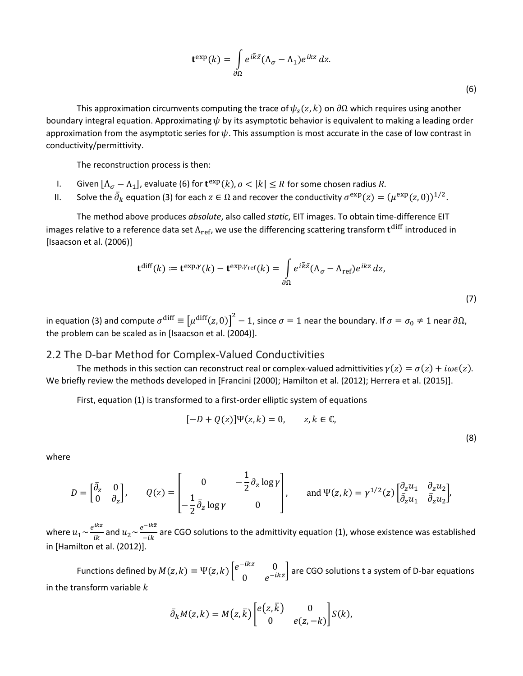$$
\mathbf{t}^{\exp}(k) = \int_{\partial \Omega} e^{i\bar{k}\bar{z}} (\Lambda_{\sigma} - \Lambda_{1}) e^{ikz} dz.
$$

This approximation circumvents computing the trace of  $\psi_s(z, k)$  on  $\partial\Omega$  which requires using another boundary integral equation. Approximating  $\psi$  by its asymptotic behavior is equivalent to making a leading order approximation from the asymptotic series for  $\psi$ . This assumption is most accurate in the case of low contrast in conductivity/permittivity.

The reconstruction process is then:

- I. Given  $[\Lambda_{\sigma} \Lambda_1]$ , evaluate (6) for  $\mathbf{t}^{\exp}(k)$ ,  $o < |k| \leq R$  for some chosen radius R.
- II. Solve the  $\partial_k$  equation (3) for each  $z \in \Omega$  and recover the conductivity  $\sigma^{exp}(z) = (\mu^{exp}(z, 0))^{1/2}$ .

The method above produces *absolute*, also called *static*, EIT images. To obtain time-difference EIT images relative to a reference data set  $\Lambda_{\rm ref}$ , we use the differencing scattering transform  ${\bf t}^{\rm diff}$  introduced in [Isaacson et al. (2006)]

$$
\mathbf{t}^{\text{diff}}(k) := \mathbf{t}^{\text{exp}, \gamma}(k) - \mathbf{t}^{\text{exp}, \gamma_{\text{ref}}}(k) = \int_{\partial \Omega} e^{i\bar{k}\bar{z}} (\Lambda_{\sigma} - \Lambda_{\text{ref}}) e^{ikz} dz,
$$
\n(7)

in equation (3) and compute  $\sigma$ <sup>diff</sup>  $\equiv \left[\mu^{\rm diff}(z,0)\right]^2-1$ , since  $\sigma=1$  near the boundary. If  $\sigma=\sigma_0\neq 1$  near ∂Ω, the problem can be scaled as in [Isaacson et al. (2004)].

#### 2.2 The D-bar Method for Complex-Valued Conductivities

The methods in this section can reconstruct real or complex-valued admittivities  $\gamma(z) = \sigma(z) + i\omega\epsilon(z)$ . We briefly review the methods developed in [Francini (2000); Hamilton et al. (2012); Herrera et al. (2015)].

First, equation (1) is transformed to a first-order elliptic system of equations

$$
[-D + Q(z)]\Psi(z,k) = 0, \qquad z, k \in \mathbb{C},
$$

(8)

where

$$
D = \begin{bmatrix} \bar{\partial}_z & 0 \\ 0 & \partial_z \end{bmatrix}, \qquad Q(z) = \begin{bmatrix} 0 & -\frac{1}{2}\partial_z \log \gamma \\ -\frac{1}{2}\bar{\partial}_z \log \gamma & 0 \end{bmatrix}, \qquad \text{and } \Psi(z, k) = \gamma^{1/2}(z) \begin{bmatrix} \partial_z u_1 & \partial_z u_2 \\ \bar{\partial}_z u_1 & \bar{\partial}_z u_2 \end{bmatrix},
$$

where  $u_1 \sim \frac{e^{ikz}}{ik}$  and  $u_2 \sim \frac{e^{-ikz}}{-ik}$  are CGO solutions to the admittivity equation (1), whose existence was established in [Hamilton et al. (2012)].

Functions defined by  $M(z, k) \equiv \Psi(z, k) \begin{bmatrix} e^{-ikz} & 0 \\ 0 & e^{-ikz} \end{bmatrix}$  $\begin{bmatrix} 0 & 0 \\ 0 & e^{-ik\bar{z}} \end{bmatrix}$  are CGO solutions t a system of D-bar equations in the transform variable  $k$ 

$$
\bar{\partial}_k M(z,k) = M(z,\bar{k}) \begin{bmatrix} e(z,\bar{k}) & 0 \\ 0 & e(z,-k) \end{bmatrix} S(k),
$$

(6)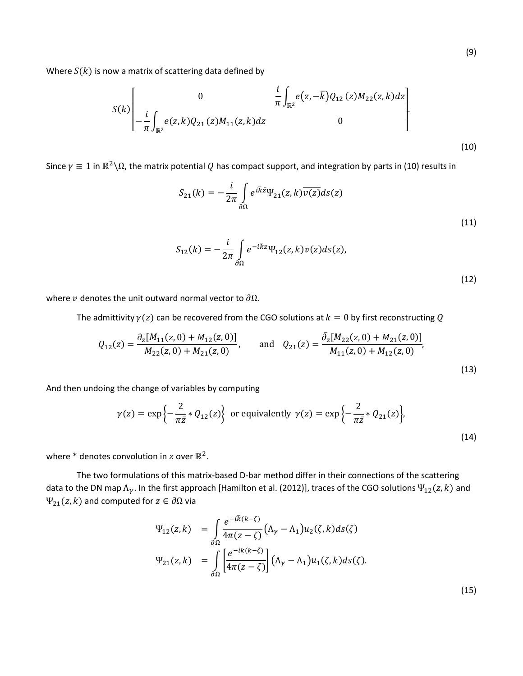Where  $S(k)$  is now a matrix of scattering data defined by

$$
S(k)\left[\begin{array}{cc} 0 & \frac{i}{\pi} \int_{\mathbb{R}^2} e(z, -\overline{k}) Q_{12}(z) M_{22}(z, k) dz \\ -\frac{i}{\pi} \int_{\mathbb{R}^2} e(z, k) Q_{21}(z) M_{11}(z, k) dz & 0 \end{array}\right].
$$
\n(10)

Since  $\gamma \equiv 1$  in  $\mathbb{R}^2 \setminus \Omega$ , the matrix potential Q has compact support, and integration by parts in (10) results in

$$
S_{21}(k) = -\frac{i}{2\pi} \int_{\partial\Omega} e^{i\bar{k}\bar{z}} \Psi_{21}(z,k) \overline{\nu(z)} ds(z)
$$
\n(11)

$$
S_{12}(k) = -\frac{i}{2\pi} \int_{\partial\Omega} e^{-i\bar{k}z} \Psi_{12}(z,k) \nu(z) ds(z), \tag{12}
$$

where v denotes the unit outward normal vector to  $\partial \Omega$ .

The admittivity  $\gamma(z)$  can be recovered from the CGO solutions at  $k = 0$  by first reconstructing Q

$$
Q_{12}(z) = \frac{\partial_z[M_{11}(z,0) + M_{12}(z,0)]}{M_{22}(z,0) + M_{21}(z,0)}, \quad \text{and} \quad Q_{21}(z) = \frac{\bar{\partial}_z[M_{22}(z,0) + M_{21}(z,0)]}{M_{11}(z,0) + M_{12}(z,0)},
$$
\n(13)

And then undoing the change of variables by computing

$$
\gamma(z) = \exp\left\{-\frac{2}{\pi \bar{z}} * Q_{12}(z)\right\} \text{ or equivalently } \gamma(z) = \exp\left\{-\frac{2}{\pi \bar{z}} * Q_{21}(z)\right\},\tag{14}
$$

where \* denotes convolution in  $z$  over  $\mathbb{R}^2$ .

The two formulations of this matrix-based D-bar method differ in their connections of the scattering data to the DN map  $\Lambda_\gamma$ . In the first approach [Hamilton et al. (2012)], traces of the CGO solutions  $\Psi_{12}(z,k)$  and  $\Psi_{21}(z, k)$  and computed for  $z \in \partial \Omega$  via

$$
\Psi_{12}(z,k) = \int_{\partial\Omega} \frac{e^{-i\bar{k}(k-\zeta)}}{4\pi(z-\zeta)} \left(\Lambda_{\gamma} - \Lambda_{1}\right) u_{2}(\zeta,k) ds(\zeta)
$$

$$
\Psi_{21}(z,k) = \int_{\partial\Omega} \left[\frac{e^{-ik(k-\zeta)}}{4\pi(z-\zeta)}\right] \left(\Lambda_{\gamma} - \Lambda_{1}\right) u_{1}(\zeta,k) ds(\zeta).
$$

(15)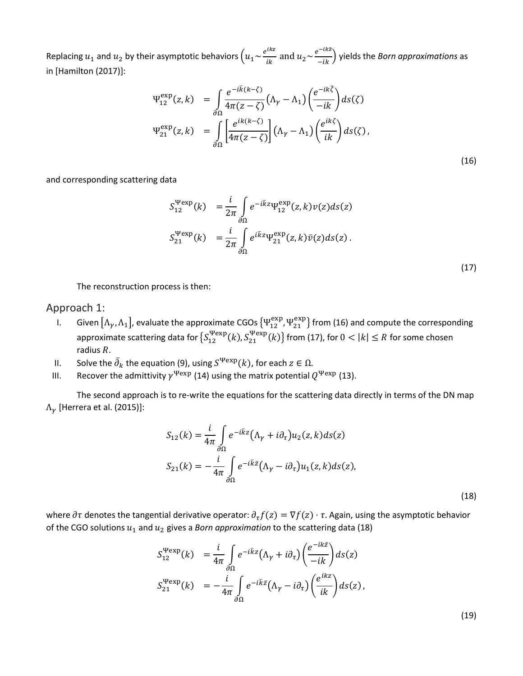Replacing  $u_1$  and  $u_2$  by their asymptotic behaviors  $\left(u_1 \sim \frac{e^{ikz}}{ik}\right)$  and  $u_2 \sim \frac{e^{-ikz}}{-ik}\right)$  yields the *Born approximations* as in [Hamilton (2017)]:

$$
\Psi_{12}^{\exp}(z,k) = \int_{\partial\Omega} \frac{e^{-i\bar{k}(k-\zeta)}}{4\pi(z-\zeta)} \left(\Lambda_{\gamma} - \Lambda_{1}\right) \left(\frac{e^{-ik\bar{\zeta}}}{-ik}\right) ds(\zeta)
$$
  

$$
\Psi_{21}^{\exp}(z,k) = \int_{\partial\Omega} \left[\frac{e^{ik(k-\zeta)}}{4\pi(z-\zeta)}\right] \left(\Lambda_{\gamma} - \Lambda_{1}\right) \left(\frac{e^{ik\zeta}}{ik}\right) ds(\zeta), \tag{16}
$$

and corresponding scattering data

$$
S_{12}^{\text{Wexp}}(k) = \frac{i}{2\pi} \int_{\partial\Omega} e^{-i\bar{k}z} \Psi_{12}^{\text{exp}}(z,k) v(z) ds(z)
$$
  

$$
S_{21}^{\text{Wexp}}(k) = \frac{i}{2\pi} \int_{\partial\Omega} e^{i\bar{k}z} \Psi_{21}^{\text{exp}}(z,k) \bar{v}(z) ds(z).
$$
 (17)

The reconstruction process is then:

#### Approach 1:

- I. Given  $[\Lambda_\gamma,\Lambda_1]$ , evaluate the approximate CGOs  $\{ \Psi_{12}^{\rm exp},\Psi_{21}^{\rm exp} \}$  from (16) and compute the corresponding approximate scattering data for  $\{S_{12}^{\text{Pexp}}(k), S_{21}^{\text{Pexp}}(k)\}$  from (17), for  $0 < |k| \le R$  for some chosen radius  $R$ .
- II. Solve the  $\partial_k$  the equation (9), using  $S^{\Psi \text{exp}}(k)$ , for each  $z \in \Omega$ .
- III. Recover the admittivity  $\gamma^{\text{Wexp}}$  (14) using the matrix potential  $Q^{\text{Wexp}}$  (13).

The second approach is to re-write the equations for the scattering data directly in terms of the DN map  $\Lambda_{\gamma}$  [Herrera et al. (2015)]:

$$
S_{12}(k) = \frac{i}{4\pi} \int_{\partial\Omega} e^{-i\bar{k}z} (\Lambda_{\gamma} + i\partial_{\tau}) u_2(z, k) ds(z)
$$
  

$$
S_{21}(k) = -\frac{i}{4\pi} \int_{\partial\Omega} e^{-i\bar{k}\bar{z}} (\Lambda_{\gamma} - i\partial_{\tau}) u_1(z, k) ds(z),
$$
 (18)

where  $\partial\tau$  denotes the tangential derivative operator:  $\partial_\tau f(z) = \nabla f(z) \cdot \tau$ . Again, using the asymptotic behavior of the CGO solutions  $u_1$  and  $u_2$  gives a *Born approximation* to the scattering data (18)

$$
S_{12}^{\text{Wexp}}(k) = \frac{i}{4\pi} \int_{\partial\Omega} e^{-i\bar{k}z} (\Lambda_{\gamma} + i\partial_{\tau}) \left( \frac{e^{-ik\bar{z}}}{-ik} \right) ds(z)
$$
  

$$
S_{21}^{\text{Wexp}}(k) = -\frac{i}{4\pi} \int_{\partial\Omega} e^{-i\bar{k}\bar{z}} (\Lambda_{\gamma} - i\partial_{\tau}) \left( \frac{e^{ikz}}{ik} \right) ds(z),
$$

(19)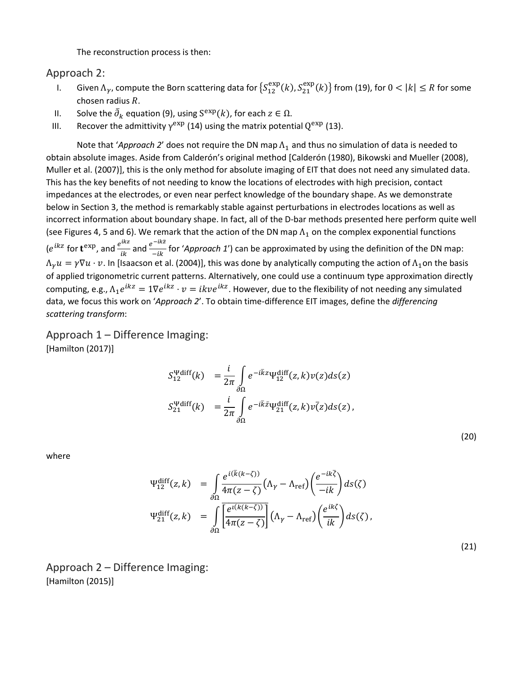The reconstruction process is then:

#### Approach 2:

- I. Given  $\Lambda_\gamma$ , compute the Born scattering data for  $\{S_{12}^{exp}(k), S_{21}^{exp}(k)\}$  from (19), for  $0 < |k| \leq R$  for some chosen radius *.*
- II. Solve the  $\partial_k$  equation (9), using  $S^{exp}(k)$ , for each  $z \in \Omega$ .
- III. Recover the admittivity  $\gamma^{\text{exp}}$  (14) using the matrix potential  $Q^{\text{exp}}$  (13).

Note that '*Approach 2*' does not require the DN map  $\Lambda_1$  and thus no simulation of data is needed to obtain absolute images. Aside from Calderón's original method [Calderón (1980), Bikowski and Mueller (2008), Muller et al. (2007)], this is the only method for absolute imaging of EIT that does not need any simulated data. This has the key benefits of not needing to know the locations of electrodes with high precision, contact impedances at the electrodes, or even near perfect knowledge of the boundary shape. As we demonstrate below in Section 3, the method is remarkably stable against perturbations in electrodes locations as well as incorrect information about boundary shape. In fact, all of the D-bar methods presented here perform quite well (see Figures 4, 5 and 6). We remark that the action of the DN map  $\Lambda_1$  on the complex exponential functions  $(e^{ikz}$  for  $t^{exp}$ , and  $\frac{e^{ikz}}{ik}$  and  $\frac{e^{-ik\overline{z}}}{-ik}$  for '*Approach 1*') can be approximated by using the definition of the DN map:  $\Lambda_v u = \gamma \nabla u \cdot v$ . In [Isaacson et al. (2004)], this was done by analytically computing the action of  $\Lambda_1$ on the basis of applied trigonometric current patterns. Alternatively, one could use a continuum type approximation directly computing, e.g.,  $\Lambda_1 e^{ikz} = 1 \nabla e^{ikz} \cdot v = ikve^{ikz}$ . However, due to the flexibility of not needing any simulated data, we focus this work on '*Approach 2*'. To obtain time-difference EIT images, define the *differencing scattering transform*:

Approach 1 – Difference Imaging: [Hamilton (2017)]

$$
S_{12}^{\Psi \text{diff}}(k) = \frac{i}{2\pi} \int_{\partial \Omega} e^{-i\bar{k}z} \Psi_{12}^{\text{diff}}(z, k) v(z) ds(z)
$$
  

$$
S_{21}^{\Psi \text{diff}}(k) = \frac{i}{2\pi} \int_{\partial \Omega} e^{-i\bar{k}\bar{z}} \Psi_{21}^{\text{diff}}(z, k) v(\bar{z}) ds(z),
$$

(20)

where

$$
\Psi_{12}^{\text{diff}}(z,k) = \int_{\partial \Omega} \frac{e^{i(\bar{k}(k-\zeta))}}{4\pi(z-\zeta)} \left(\Lambda_{\gamma} - \Lambda_{\text{ref}}\right) \left(\frac{e^{-ik\bar{\zeta}}}{-ik}\right) ds(\zeta)
$$
\n
$$
\Psi_{21}^{\text{diff}}(z,k) = \int_{\partial \Omega} \overline{\left[\frac{e^{i(k(k-\zeta))}}{4\pi(z-\zeta)}\right]} \left(\Lambda_{\gamma} - \Lambda_{\text{ref}}\right) \left(\frac{e^{ik\zeta}}{ik}\right) ds(\zeta),\tag{21}
$$

Approach 2 – Difference Imaging: [Hamilton (2015)]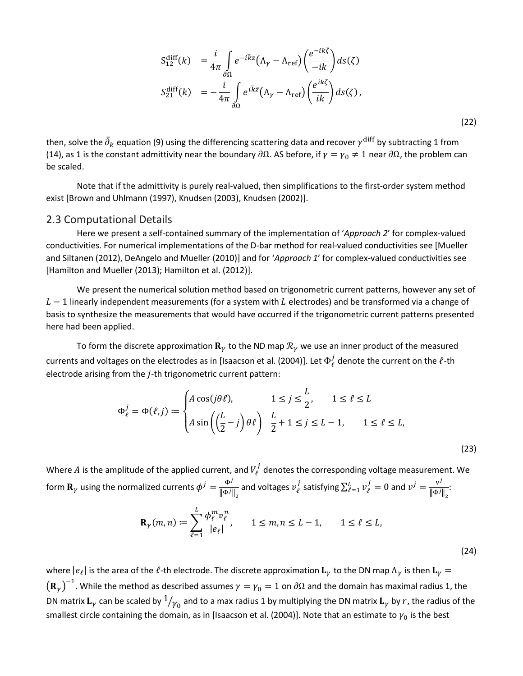$$
S_{12}^{\text{diff}}(k) = \frac{i}{4\pi} \int_{\partial \Omega} e^{-i\bar{k}z} (\Lambda_{\gamma} - \Lambda_{\text{ref}}) \left( \frac{e^{-ik\bar{\zeta}}}{-ik} \right) ds(\zeta)
$$
  

$$
S_{21}^{\text{diff}}(k) = -\frac{i}{4\pi} \int_{\partial \Omega} e^{i\bar{k}\bar{z}} (\Lambda_{\gamma} - \Lambda_{\text{ref}}) \left( \frac{e^{ik\zeta}}{ik} \right) ds(\zeta), \tag{22}
$$

then, solve the  $\partial_k$  equation (9) using the differencing scattering data and recover  $\gamma^{\rm diff}$  by subtracting 1 from (14), as 1 is the constant admittivity near the boundary  $\partial\Omega$ . AS before, if  $\gamma=\gamma_0\neq 1$  near  $\partial\Omega$ , the problem can be scaled.

Note that if the admittivity is purely real-valued, then simplifications to the first-order system method exist [Brown and Uhlmann (1997), Knudsen (2003), Knudsen (2002)].

#### 2.3 Computational Details

Here we present a self-contained summary of the implementation of '*Approach 2*' for complex-valued conductivities. For numerical implementations of the D-bar method for real-valued conductivities see [Mueller and Siltanen (2012), DeAngelo and Mueller (2010)] and for '*Approach 1*' for complex-valued conductivities see [Hamilton and Mueller (2013); Hamilton et al. (2012)].

We present the numerical solution method based on trigonometric current patterns, however any set of  $L-1$  linearly independent measurements (for a system with L electrodes) and be transformed via a change of basis to synthesize the measurements that would have occurred if the trigonometric current patterns presented here had been applied.

To form the discrete approximation  $\mathbf{R}_{\gamma}$  to the ND map  $\mathcal{R}_{\gamma}$  we use an inner product of the measured currents and voltages on the electrodes as in [Isaacson et al. (2004)]. Let  $\Phi_\ell^J$  denote the current on the  $\ell$ -th electrode arising from the  $j$ -th trigonometric current pattern:

$$
\Phi_{\ell}^{j} = \Phi(\ell, j) \coloneqq \begin{cases} A \cos(j\theta \ell), & 1 \le j \le \frac{L}{2}, & 1 \le \ell \le L \\ A \sin\left(\left(\frac{L}{2} - j\right)\theta \ell\right) & \frac{L}{2} + 1 \le j \le L - 1, & 1 \le \ell \le L, \end{cases}
$$
\n(23)

Where  $A$  is the amplitude of the applied current, and  $V^J_\ell$  denotes the corresponding voltage measurement. We form  $\mathbf{R}_{\gamma}$  using the normalized currents  $\phi^j = \frac{\Phi^j}{\|\Phi^j\|_2}$  and voltages  $v_{\ell}^j$  satisfying  $\sum_{\ell=1}^L v_{\ell}^j = 0$  and  $v^j = \frac{v^j}{\|\Phi^j\|_2}$ .

$$
\mathbf{R}_{\gamma}(m,n) := \sum_{\ell=1}^{L} \frac{\phi_{\ell}^{m} v_{\ell}^{n}}{|e_{\ell}|}, \qquad 1 \le m, n \le L - 1, \qquad 1 \le \ell \le L,
$$
\n(24)

where  $|e_\ell|$  is the area of the  $\ell$ -th electrode. The discrete approximation  ${\bf L}_\gamma$  to the DN map  $\Lambda_\gamma$  is then  ${\bf L}_\gamma$  $\big(\mathbf{R}_\gamma\big)^{-1}.$  While the method as described assumes  $\gamma=\gamma_0=1$  on  $\partial\Omega$  and the domain has maximal radius 1, the DN matrix  ${\bf L}_\gamma$  can be scaled by  $1/_{\gamma_0}$  and to a max radius 1 by multiplying the DN matrix  ${\bf L}_\gamma$  by  $r$ , the radius of the smallest circle containing the domain, as in [Isaacson et al. (2004)]. Note that an estimate to  $\gamma_0$  is the best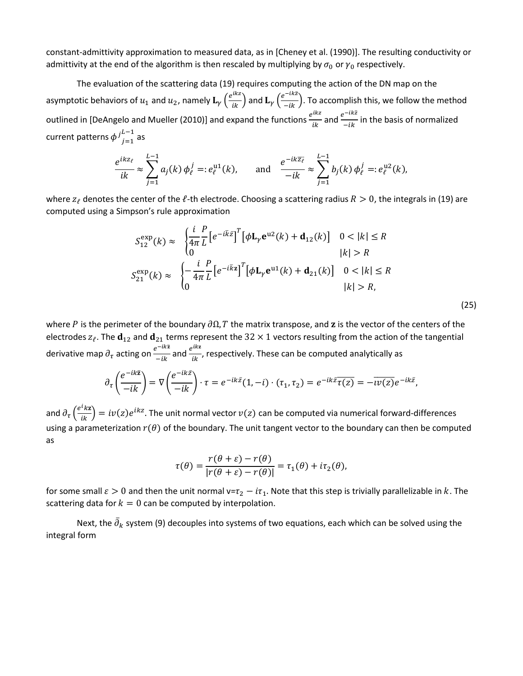constant-admittivity approximation to measured data, as in [Cheney et al. (1990)]. The resulting conductivity or admittivity at the end of the algorithm is then rescaled by multiplying by  $\sigma_0$  or  $\gamma_0$  respectively.

The evaluation of the scattering data (19) requires computing the action of the DN map on the asymptotic behaviors of  $u_1$  and  $u_2$ , namely  $\mathbf{L}_{\gamma}\left(\frac{e^{ikz}}{ik}\right)$  and  $\mathbf{L}_{\gamma}\left(\frac{e^{-ikz}}{-ik}\right)$ . To accomplish this, we follow the method outlined in [DeAngelo and Mueller (2010)] and expand the functions  $e^{ikz}$  and  $e^{-ikz}$  in the basis of normalized current patterns  $\phi^{j}{}_{j=1}^L$ *L−*1<br><sub>*i*=1</sub> as

$$
\frac{e^{ikz_{\ell}}}{ik} \approx \sum_{j=1}^{L-1} a_j(k) \, \phi_{\ell}^j =: e_{\ell}^{\mathrm{u1}}(k), \quad \text{and} \quad \frac{e^{-ik\overline{z_{\ell}}}}{-ik} \approx \sum_{j=1}^{L-1} b_j(k) \, \phi_{\ell}^j =: e_{\ell}^{\mathrm{u2}}(k),
$$

where  $z_\ell$  denotes the center of the  $\ell$ -th electrode. Choosing a scattering radius  $R > 0$ , the integrals in (19) are computed using a Simpson's rule approximation

$$
S_{12}^{\exp}(k) \approx \begin{cases} \frac{i}{4\pi} \frac{P}{L} \left[ e^{-i\bar{k}\bar{z}} \right]^T \left[ \phi \mathbf{L}_{\gamma} \mathbf{e}^{u2}(k) + \mathbf{d}_{12}(k) \right] & 0 < |k| \le R \\ 0 & |k| > R \end{cases}
$$
\n
$$
S_{21}^{\exp}(k) \approx \begin{cases} -\frac{i}{4\pi} \frac{P}{L} \left[ e^{-i\bar{k}z} \right]^T \left[ \phi \mathbf{L}_{\gamma} \mathbf{e}^{u1}(k) + \mathbf{d}_{21}(k) \right] & 0 < |k| \le R \\ 0 & |k| > R, \end{cases}
$$

(25)

where P is the perimeter of the boundary  $\partial\Omega$ , T the matrix transpose, and z is the vector of the centers of the electrodes  $z_\ell$ . The  $\mathbf{d}_{12}$  and  $\mathbf{d}_{21}$  terms represent the  $32\times 1$  vectors resulting from the action of the tangential derivative map  $\partial_{\tau}$  acting on  $\frac{e^{-ik\tau}}{-ik}$  and  $\frac{e^{ik\tau}}{ik}$ , respectively. These can be computed analytically as

$$
\partial_{\tau}\left(\frac{e^{-ik\overline{z}}}{-ik}\right) = \nabla\left(\frac{e^{-ik\overline{z}}}{-ik}\right) \cdot \tau = e^{-ik\overline{z}}(1, -i) \cdot (\tau_1, \tau_2) = e^{-ik\overline{z}}\overline{\tau(z)} = -\overline{\iota\nu(z)}e^{-ik\overline{z}},
$$

and  $\partial_{\tau}\left(\frac{e^{i}kz}{ik}\right) = iv(z)e^{ikz}$ . The unit normal vector  $v(z)$  can be computed via numerical forward-differences using a parameterization  $r(\theta)$  of the boundary. The unit tangent vector to the boundary can then be computed as

$$
\tau(\theta) = \frac{r(\theta + \varepsilon) - r(\theta)}{|r(\theta + \varepsilon) - r(\theta)|} = \tau_1(\theta) + i\tau_2(\theta),
$$

for some small  $\varepsilon > 0$  and then the unit normal v= $\tau_2 - i\tau_1$ . Note that this step is trivially parallelizable in k. The scattering data for  $k = 0$  can be computed by interpolation.

Next, the  $\partial_k$  system (9) decouples into systems of two equations, each which can be solved using the integral form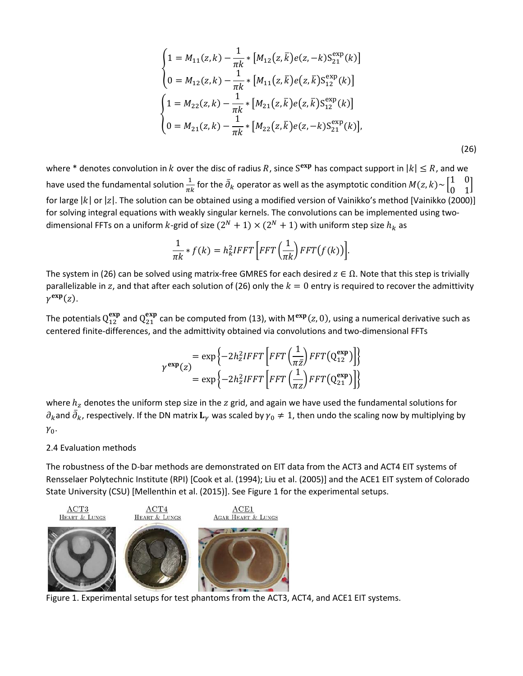$$
\begin{cases}\n1 = M_{11}(z,k) - \frac{1}{\pi k} * [M_{12}(z,\bar{k})e(z,-k)S_{21}^{\exp}(k)] \\
0 = M_{12}(z,k) - \frac{1}{\pi k} * [M_{11}(z,\bar{k})e(z,\bar{k})S_{12}^{\exp}(k)] \\
1 = M_{22}(z,k) - \frac{1}{\pi k} * [M_{21}(z,\bar{k})e(z,\bar{k})S_{12}^{\exp}(k)] \\
0 = M_{21}(z,k) - \frac{1}{\pi k} * [M_{22}(z,\bar{k})e(z,-k)S_{21}^{\exp}(k)],\n\end{cases}
$$

(26)

where \* denotes convolution in k over the disc of radius R, since S<sup>exp</sup> has compact support in  $|k| \le R$ , and we have used the fundamental solution  $\frac{1}{\pi k}$  for the  $\bar\partial_k$  operator as well as the asymptotic condition  $M(z,k){\sim}\begin{bmatrix} 1 & 0 \ 0 & 1 \end{bmatrix}$  $\begin{bmatrix} 0 & 1 \end{bmatrix}$ for large  $|k|$  or  $|z|$ . The solution can be obtained using a modified version of Vainikko's method [Vainikko (2000)] for solving integral equations with weakly singular kernels. The convolutions can be implemented using twodimensional FFTs on a uniform k-grid of size  $(2^N + 1) \times (2^N + 1)$  with uniform step size  $h_k$  as

$$
\frac{1}{\pi k} * f(k) = h_k^2 IFFT\left[ FFT\left(\frac{1}{\pi k}\right) FFT(f(k)) \right].
$$

The system in (26) can be solved using matrix-free GMRES for each desired  $z \in \Omega$ . Note that this step is trivially parallelizable in z, and that after each solution of (26) only the  $k = 0$  entry is required to recover the admittivity  $\gamma^{\exp}(z)$ .

The potentials  $Q_{12}^{exp}$  and  $Q_{21}^{exp}$  can be computed from (13), with  $M^{exp}(z, 0)$ , using a numerical derivative such as centered finite-differences, and the admittivity obtained via convolutions and two-dimensional FFTs

$$
\gamma^{\exp}(z) = \exp\left\{-2h_z^2IFFT\left[FFT\left(\frac{1}{\pi z}\right)FFT(Q_{12}^{\exp})\right]\right\}
$$

$$
= \exp\left\{-2h_z^2IFFT\left[FFT\left(\frac{1}{\pi z}\right)FFT(Q_{21}^{\exp})\right]\right\}
$$

where  $h_z$  denotes the uniform step size in the  $z$  grid, and again we have used the fundamental solutions for  $\partial_k$ and  $\partial_k$ , respectively. If the DN matrix  ${\bf L}_\gamma$  was scaled by  $\gamma_0\neq 1$ , then undo the scaling now by multiplying by  $\gamma_0$ .

#### 2.4 Evaluation methods

The robustness of the D-bar methods are demonstrated on EIT data from the ACT3 and ACT4 EIT systems of Rensselaer Polytechnic Institute (RPI) [Cook et al. (1994); Liu et al. (2005)] and the ACE1 EIT system of Colorado State University (CSU) [Mellenthin et al. (2015)]. See Figure 1 for the experimental setups.



Figure 1. Experimental setups for test phantoms from the ACT3, ACT4, and ACE1 EIT systems.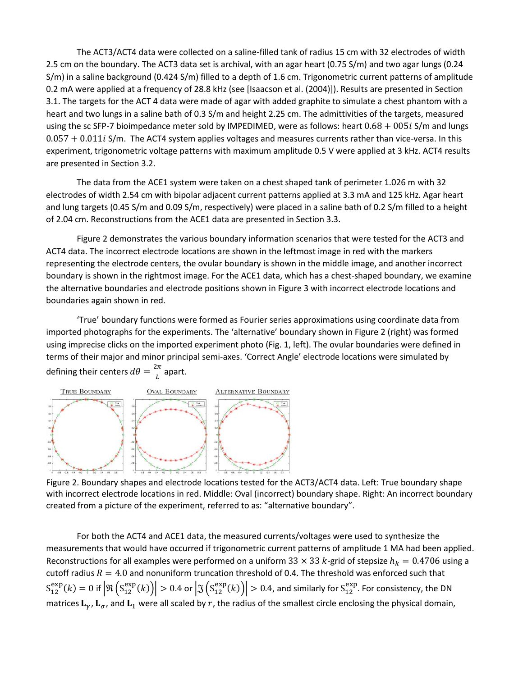The ACT3/ACT4 data were collected on a saline-filled tank of radius 15 cm with 32 electrodes of width 2.5 cm on the boundary. The ACT3 data set is archival, with an agar heart (0.75 S/m) and two agar lungs (0.24 S/m) in a saline background (0.424 S/m) filled to a depth of 1.6 cm. Trigonometric current patterns of amplitude 0.2 mA were applied at a frequency of 28.8 kHz (see [Isaacson et al. (2004)]). Results are presented in Section 3.1. The targets for the ACT 4 data were made of agar with added graphite to simulate a chest phantom with a heart and two lungs in a saline bath of 0.3 S/m and height 2.25 cm. The admittivities of the targets, measured using the sc SFP-7 bioimpedance meter sold by IMPEDIMED, were as follows: heart  $0.68 + 005i$  S/m and lungs  $0.057 + 0.011i$  S/m. The ACT4 system applies voltages and measures currents rather than vice-versa. In this experiment, trigonometric voltage patterns with maximum amplitude 0.5 V were applied at 3 kHz. ACT4 results are presented in Section 3.2.

The data from the ACE1 system were taken on a chest shaped tank of perimeter 1.026 m with 32 electrodes of width 2.54 cm with bipolar adjacent current patterns applied at 3.3 mA and 125 kHz. Agar heart and lung targets (0.45 S/m and 0.09 S/m, respectively) were placed in a saline bath of 0.2 S/m filled to a height of 2.04 cm. Reconstructions from the ACE1 data are presented in Section 3.3.

Figure 2 demonstrates the various boundary information scenarios that were tested for the ACT3 and ACT4 data. The incorrect electrode locations are shown in the leftmost image in red with the markers representing the electrode centers, the ovular boundary is shown in the middle image, and another incorrect boundary is shown in the rightmost image. For the ACE1 data, which has a chest-shaped boundary, we examine the alternative boundaries and electrode positions shown in Figure 3 with incorrect electrode locations and boundaries again shown in red.

'True' boundary functions were formed as Fourier series approximations using coordinate data from imported photographs for the experiments. The 'alternative' boundary shown in Figure 2 (right) was formed using imprecise clicks on the imported experiment photo (Fig. 1, left). The ovular boundaries were defined in terms of their major and minor principal semi-axes. 'Correct Angle' electrode locations were simulated by defining their centers  $d\theta = \frac{2\pi}{L}$  apart.



Figure 2. Boundary shapes and electrode locations tested for the ACT3/ACT4 data. Left: True boundary shape with incorrect electrode locations in red. Middle: Oval (incorrect) boundary shape. Right: An incorrect boundary created from a picture of the experiment, referred to as: "alternative boundary".

For both the ACT4 and ACE1 data, the measured currents/voltages were used to synthesize the measurements that would have occurred if trigonometric current patterns of amplitude 1 MA had been applied. Reconstructions for all examples were performed on a uniform 33  $\times$  33  $k$ -grid of stepsize  $h_k = 0.4706$  using a cutoff radius  $R = 4.0$  and nonuniform truncation threshold of 0.4. The threshold was enforced such that  $S_{12}^{\text{exp}}(k) = 0$  if  $\left|\Re\left(S_{12}^{\text{exp}}(k)\right)\right| > 0.4$  or  $\left|\Im\left(S_{12}^{\text{exp}}(k)\right)\right| > 0.4$ , and similarly for  $S_{12}^{\text{exp}}$ . For consistency, the DN matrices  $L_v$ ,  $L_\sigma$ , and  $L_1$  were all scaled by r, the radius of the smallest circle enclosing the physical domain,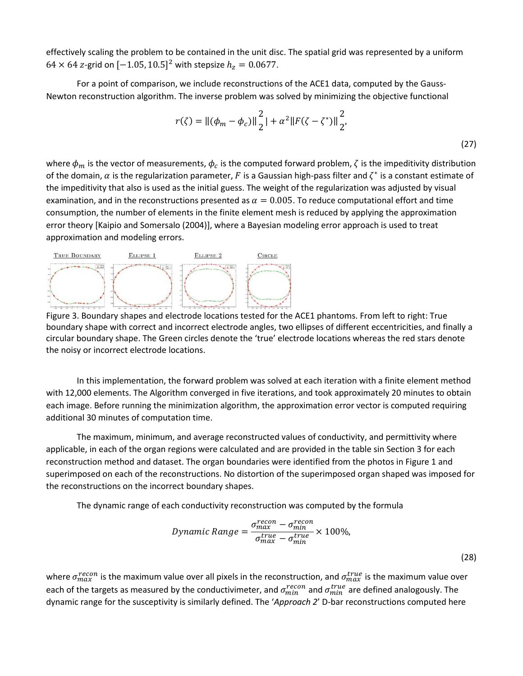effectively scaling the problem to be contained in the unit disc. The spatial grid was represented by a uniform  $64 \times 64$  z-grid on  $[-1.05, 10.5]^2$  with stepsize  $h_z = 0.0677$ .

For a point of comparison, we include reconstructions of the ACE1 data, computed by the Gauss-Newton reconstruction algorithm. The inverse problem was solved by minimizing the objective functional

$$
r(\zeta) = ||(\phi_m - \phi_c)||_2^2 + \alpha^2 ||F(\zeta - \zeta^*)||_2^2,
$$
\n(27)

where  $\phi_m$  is the vector of measurements,  $\phi_c$  is the computed forward problem,  $\zeta$  is the impeditivity distribution of the domain,  $\alpha$  is the regularization parameter, F is a Gaussian high-pass filter and  $\zeta^*$  is a constant estimate of the impeditivity that also is used as the initial guess. The weight of the regularization was adjusted by visual examination, and in the reconstructions presented as  $\alpha = 0.005$ . To reduce computational effort and time consumption, the number of elements in the finite element mesh is reduced by applying the approximation error theory [Kaipio and Somersalo (2004)], where a Bayesian modeling error approach is used to treat approximation and modeling errors.



Figure 3. Boundary shapes and electrode locations tested for the ACE1 phantoms. From left to right: True boundary shape with correct and incorrect electrode angles, two ellipses of different eccentricities, and finally a circular boundary shape. The Green circles denote the 'true' electrode locations whereas the red stars denote the noisy or incorrect electrode locations.

In this implementation, the forward problem was solved at each iteration with a finite element method with 12,000 elements. The Algorithm converged in five iterations, and took approximately 20 minutes to obtain each image. Before running the minimization algorithm, the approximation error vector is computed requiring additional 30 minutes of computation time.

The maximum, minimum, and average reconstructed values of conductivity, and permittivity where applicable, in each of the organ regions were calculated and are provided in the table sin Section 3 for each reconstruction method and dataset. The organ boundaries were identified from the photos in Figure 1 and superimposed on each of the reconstructions. No distortion of the superimposed organ shaped was imposed for the reconstructions on the incorrect boundary shapes.

The dynamic range of each conductivity reconstruction was computed by the formula

$$
Dynamic Range = \frac{\sigma_{max}^{recon} - \sigma_{min}^{recon}}{\sigma_{max}^{true} - \sigma_{min}^{true}} \times 100\%,
$$
\n(28)

where  $\sigma_{max}^{recon}$  is the maximum value over all pixels in the reconstruction, and  $\sigma_{max}^{true}$  is the maximum value over each of the targets as measured by the conductivimeter, and  $\sigma_{min}^{recon}$  and  $\sigma_{min}^{true}$  are defined analogously. The dynamic range for the susceptivity is similarly defined. The '*Approach 2*' D-bar reconstructions computed here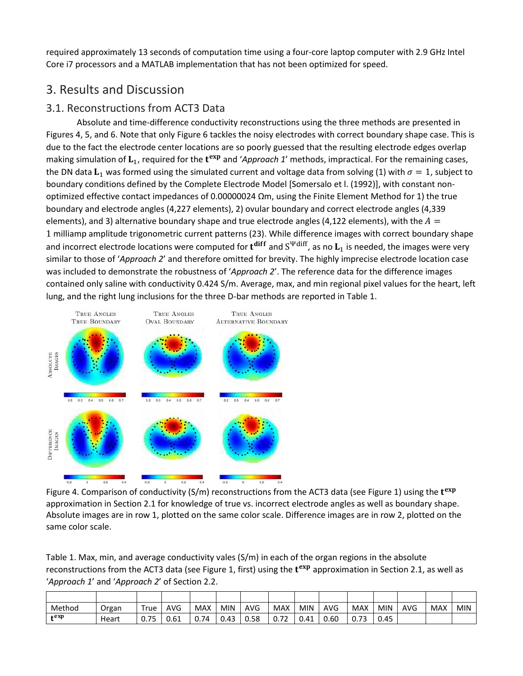required approximately 13 seconds of computation time using a four-core laptop computer with 2.9 GHz Intel Core i7 processors and a MATLAB implementation that has not been optimized for speed.

# 3. Results and Discussion

# 3.1. Reconstructions from ACT3 Data

Absolute and time-difference conductivity reconstructions using the three methods are presented in Figures 4, 5, and 6. Note that only Figure 6 tackles the noisy electrodes with correct boundary shape case. This is due to the fact the electrode center locations are so poorly guessed that the resulting electrode edges overlap making simulation of  $L_1$ , required for the  $t^{exp}$  and '*Approach 1'* methods, impractical. For the remaining cases, the DN data  $L_1$  was formed using the simulated current and voltage data from solving (1) with  $\sigma = 1$ , subject to boundary conditions defined by the Complete Electrode Model [Somersalo et l. (1992)], with constant nonoptimized effective contact impedances of 0.00000024 Ωm, using the Finite Element Method for 1) the true boundary and electrode angles (4,227 elements), 2) ovular boundary and correct electrode angles (4,339 elements), and 3) alternative boundary shape and true electrode angles (4,122 elements), with the  $A =$ 1 milliamp amplitude trigonometric current patterns (23). While difference images with correct boundary shape and incorrect electrode locations were computed for  $t^{\text{diff}}$  and  $S^{\text{Wdiff}}$ , as no  $L_1$  is needed, the images were very similar to those of '*Approach 2*' and therefore omitted for brevity. The highly imprecise electrode location case was included to demonstrate the robustness of '*Approach 2*'. The reference data for the difference images contained only saline with conductivity 0.424 S/m. Average, max, and min regional pixel values for the heart, left lung, and the right lung inclusions for the three D-bar methods are reported in Table 1.



Figure 4. Comparison of conductivity (S/m) reconstructions from the ACT3 data (see Figure 1) using the  $t^{exp}$ approximation in Section 2.1 for knowledge of true vs. incorrect electrode angles as well as boundary shape. Absolute images are in row 1, plotted on the same color scale. Difference images are in row 2, plotted on the same color scale.

Table 1. Max, min, and average conductivity vales (S/m) in each of the organ regions in the absolute reconstructions from the ACT3 data (see Figure 1, first) using the  $t^{exp}$  approximation in Section 2.1, as well as '*Approach 1*' and '*Approach 2*' of Section 2.2.

| Method | Organ | True | AVG  | <b>MAX</b> | <b>MIN</b> | AVG  | <b>MAX</b>                       | <b>MIN</b> | <b>AVG</b> | MAX  | MIN  | AVG | MAX | <b>MIN</b> |
|--------|-------|------|------|------------|------------|------|----------------------------------|------------|------------|------|------|-----|-----|------------|
| $+exp$ | Heart | 0.75 | 0.61 | 0.74       | 0.43       | 0.58 | $\overline{\phantom{a}}$<br>0.72 | 0.41       | 0.60       | 0.73 | 0.45 |     |     |            |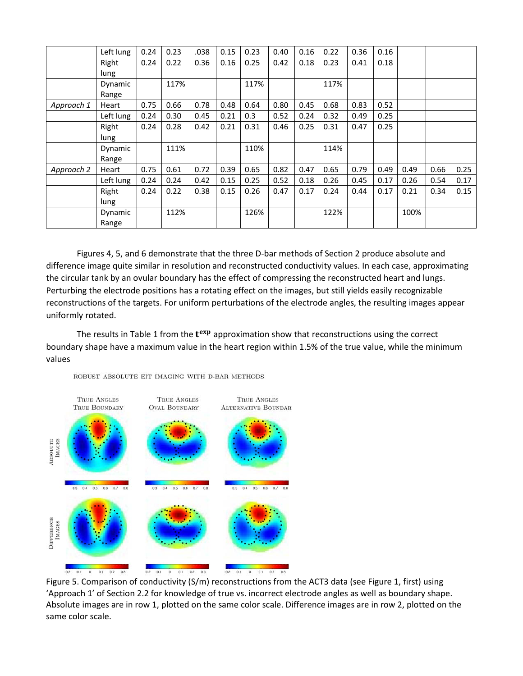|            | Left lung        | 0.24 | 0.23 | .038 | 0.15 | 0.23 | 0.40 | 0.16 | 0.22 | 0.36 | 0.16 |      |      |      |
|------------|------------------|------|------|------|------|------|------|------|------|------|------|------|------|------|
|            | Right<br>lung    | 0.24 | 0.22 | 0.36 | 0.16 | 0.25 | 0.42 | 0.18 | 0.23 | 0.41 | 0.18 |      |      |      |
|            | Dynamic<br>Range |      | 117% |      |      | 117% |      |      | 117% |      |      |      |      |      |
| Approach 1 | Heart            | 0.75 | 0.66 | 0.78 | 0.48 | 0.64 | 0.80 | 0.45 | 0.68 | 0.83 | 0.52 |      |      |      |
|            | Left lung        | 0.24 | 0.30 | 0.45 | 0.21 | 0.3  | 0.52 | 0.24 | 0.32 | 0.49 | 0.25 |      |      |      |
|            | Right<br>lung    | 0.24 | 0.28 | 0.42 | 0.21 | 0.31 | 0.46 | 0.25 | 0.31 | 0.47 | 0.25 |      |      |      |
|            | Dynamic<br>Range |      | 111% |      |      | 110% |      |      | 114% |      |      |      |      |      |
| Approach 2 | Heart            | 0.75 | 0.61 | 0.72 | 0.39 | 0.65 | 0.82 | 0.47 | 0.65 | 0.79 | 0.49 | 0.49 | 0.66 | 0.25 |
|            | Left lung        | 0.24 | 0.24 | 0.42 | 0.15 | 0.25 | 0.52 | 0.18 | 0.26 | 0.45 | 0.17 | 0.26 | 0.54 | 0.17 |
|            | Right<br>lung    | 0.24 | 0.22 | 0.38 | 0.15 | 0.26 | 0.47 | 0.17 | 0.24 | 0.44 | 0.17 | 0.21 | 0.34 | 0.15 |
|            | Dynamic<br>Range |      | 112% |      |      | 126% |      |      | 122% |      |      | 100% |      |      |

Figures 4, 5, and 6 demonstrate that the three D-bar methods of Section 2 produce absolute and difference image quite similar in resolution and reconstructed conductivity values. In each case, approximating the circular tank by an ovular boundary has the effect of compressing the reconstructed heart and lungs. Perturbing the electrode positions has a rotating effect on the images, but still yields easily recognizable reconstructions of the targets. For uniform perturbations of the electrode angles, the resulting images appear uniformly rotated.

The results in Table 1 from the  $t^{exp}$  approximation show that reconstructions using the correct boundary shape have a maximum value in the heart region within 1.5% of the true value, while the minimum values





Figure 5. Comparison of conductivity (S/m) reconstructions from the ACT3 data (see Figure 1, first) using 'Approach 1' of Section 2.2 for knowledge of true vs. incorrect electrode angles as well as boundary shape. Absolute images are in row 1, plotted on the same color scale. Difference images are in row 2, plotted on the same color scale.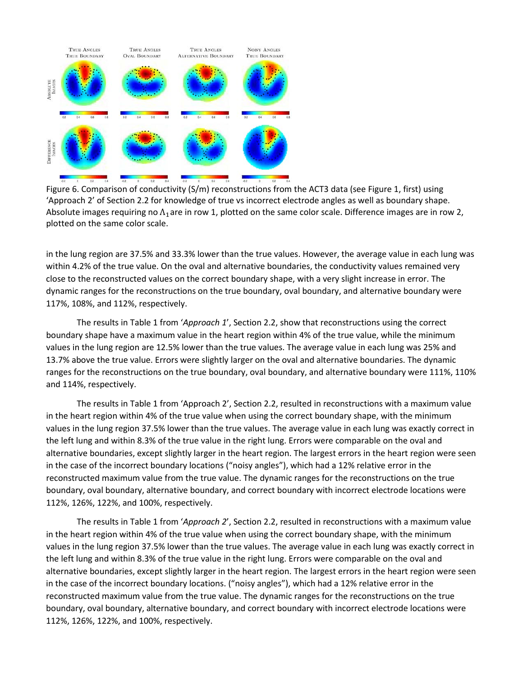

Figure 6. Comparison of conductivity (S/m) reconstructions from the ACT3 data (see Figure 1, first) using 'Approach 2' of Section 2.2 for knowledge of true vs incorrect electrode angles as well as boundary shape. Absolute images requiring no  $\Lambda_1$ are in row 1, plotted on the same color scale. Difference images are in row 2, plotted on the same color scale.

in the lung region are 37.5% and 33.3% lower than the true values. However, the average value in each lung was within 4.2% of the true value. On the oval and alternative boundaries, the conductivity values remained very close to the reconstructed values on the correct boundary shape, with a very slight increase in error. The dynamic ranges for the reconstructions on the true boundary, oval boundary, and alternative boundary were 117%, 108%, and 112%, respectively.

The results in Table 1 from '*Approach 1*', Section 2.2, show that reconstructions using the correct boundary shape have a maximum value in the heart region within 4% of the true value, while the minimum values in the lung region are 12.5% lower than the true values. The average value in each lung was 25% and 13.7% above the true value. Errors were slightly larger on the oval and alternative boundaries. The dynamic ranges for the reconstructions on the true boundary, oval boundary, and alternative boundary were 111%, 110% and 114%, respectively.

The results in Table 1 from 'Approach 2', Section 2.2, resulted in reconstructions with a maximum value in the heart region within 4% of the true value when using the correct boundary shape, with the minimum values in the lung region 37.5% lower than the true values. The average value in each lung was exactly correct in the left lung and within 8.3% of the true value in the right lung. Errors were comparable on the oval and alternative boundaries, except slightly larger in the heart region. The largest errors in the heart region were seen in the case of the incorrect boundary locations ("noisy angles"), which had a 12% relative error in the reconstructed maximum value from the true value. The dynamic ranges for the reconstructions on the true boundary, oval boundary, alternative boundary, and correct boundary with incorrect electrode locations were 112%, 126%, 122%, and 100%, respectively.

The results in Table 1 from '*Approach 2*', Section 2.2, resulted in reconstructions with a maximum value in the heart region within 4% of the true value when using the correct boundary shape, with the minimum values in the lung region 37.5% lower than the true values. The average value in each lung was exactly correct in the left lung and within 8.3% of the true value in the right lung. Errors were comparable on the oval and alternative boundaries, except slightly larger in the heart region. The largest errors in the heart region were seen in the case of the incorrect boundary locations. ("noisy angles"), which had a 12% relative error in the reconstructed maximum value from the true value. The dynamic ranges for the reconstructions on the true boundary, oval boundary, alternative boundary, and correct boundary with incorrect electrode locations were 112%, 126%, 122%, and 100%, respectively.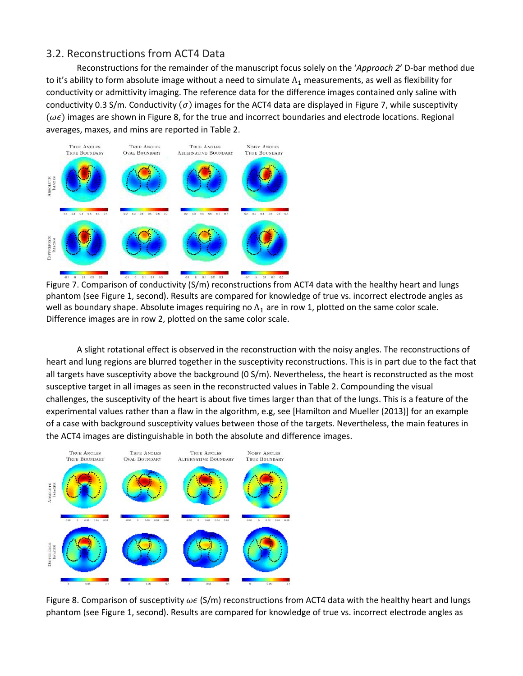## 3.2. Reconstructions from ACT4 Data

Reconstructions for the remainder of the manuscript focus solely on the '*Approach 2*' D-bar method due to it's ability to form absolute image without a need to simulate  $\Lambda_1$  measurements, as well as flexibility for conductivity or admittivity imaging. The reference data for the difference images contained only saline with conductivity 0.3 S/m. Conductivity ( $\sigma$ ) images for the ACT4 data are displayed in Figure 7, while susceptivity  $(\omega \epsilon)$  images are shown in Figure 8, for the true and incorrect boundaries and electrode locations. Regional averages, maxes, and mins are reported in Table 2.



Figure 7. Comparison of conductivity (S/m) reconstructions from ACT4 data with the healthy heart and lungs phantom (see Figure 1, second). Results are compared for knowledge of true vs. incorrect electrode angles as well as boundary shape. Absolute images requiring no  $\Lambda_1$  are in row 1, plotted on the same color scale. Difference images are in row 2, plotted on the same color scale.

A slight rotational effect is observed in the reconstruction with the noisy angles. The reconstructions of heart and lung regions are blurred together in the susceptivity reconstructions. This is in part due to the fact that all targets have susceptivity above the background  $(0 S/m)$ . Nevertheless, the heart is reconstructed as the most susceptive target in all images as seen in the reconstructed values in Table 2. Compounding the visual challenges, the susceptivity of the heart is about five times larger than that of the lungs. This is a feature of the experimental values rather than a flaw in the algorithm, e.g, see [Hamilton and Mueller (2013)] for an example of a case with background susceptivity values between those of the targets. Nevertheless, the main features in the ACT4 images are distinguishable in both the absolute and difference images.



Figure 8. Comparison of susceptivity  $\omega \epsilon$  (S/m) reconstructions from ACT4 data with the healthy heart and lungs phantom (see Figure 1, second). Results are compared for knowledge of true vs. incorrect electrode angles as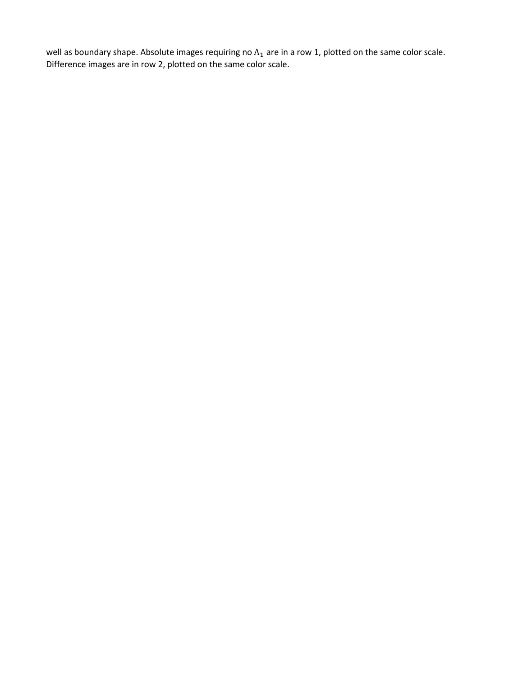well as boundary shape. Absolute images requiring no  $\Lambda_1$  are in a row 1, plotted on the same color scale. Difference images are in row 2, plotted on the same color scale.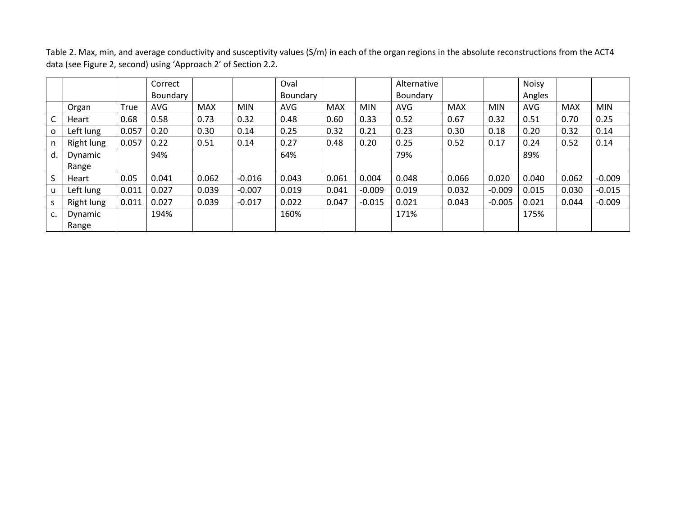Table 2. Max, min, and average conductivity and susceptivity values (S/m) in each of the organ regions in the absolute reconstructions from the ACT4 data (see Figure 2, second) using 'Approach 2' of Section 2.2.

|    |            |       | Correct    |            |            | Oval     |            |            | Alternative     |            |            | <b>Noisy</b> |            |            |
|----|------------|-------|------------|------------|------------|----------|------------|------------|-----------------|------------|------------|--------------|------------|------------|
|    |            |       | Boundary   |            |            | Boundary |            |            | <b>Boundary</b> |            |            | Angles       |            |            |
|    | Organ      | True  | <b>AVG</b> | <b>MAX</b> | <b>MIN</b> | AVG      | <b>MAX</b> | <b>MIN</b> | <b>AVG</b>      | <b>MAX</b> | <b>MIN</b> | AVG          | <b>MAX</b> | <b>MIN</b> |
|    | Heart      | 0.68  | 0.58       | 0.73       | 0.32       | 0.48     | 0.60       | 0.33       | 0.52            | 0.67       | 0.32       | 0.51         | 0.70       | 0.25       |
| O  | Left lung  | 0.057 | 0.20       | 0.30       | 0.14       | 0.25     | 0.32       | 0.21       | 0.23            | 0.30       | 0.18       | 0.20         | 0.32       | 0.14       |
|    | Right lung | 0.057 | 0.22       | 0.51       | 0.14       | 0.27     | 0.48       | 0.20       | 0.25            | 0.52       | 0.17       | 0.24         | 0.52       | 0.14       |
| d. | Dynamic    |       | 94%        |            |            | 64%      |            |            | 79%             |            |            | 89%          |            |            |
|    | Range      |       |            |            |            |          |            |            |                 |            |            |              |            |            |
| S  | Heart      | 0.05  | 0.041      | 0.062      | $-0.016$   | 0.043    | 0.061      | 0.004      | 0.048           | 0.066      | 0.020      | 0.040        | 0.062      | $-0.009$   |
| u  | Left lung  | 0.011 | 0.027      | 0.039      | $-0.007$   | 0.019    | 0.041      | $-0.009$   | 0.019           | 0.032      | $-0.009$   | 0.015        | 0.030      | $-0.015$   |
|    | Right lung | 0.011 | 0.027      | 0.039      | $-0.017$   | 0.022    | 0.047      | $-0.015$   | 0.021           | 0.043      | $-0.005$   | 0.021        | 0.044      | $-0.009$   |
| c. | Dynamic    |       | 194%       |            |            | 160%     |            |            | 171%            |            |            | 175%         |            |            |
|    | Range      |       |            |            |            |          |            |            |                 |            |            |              |            |            |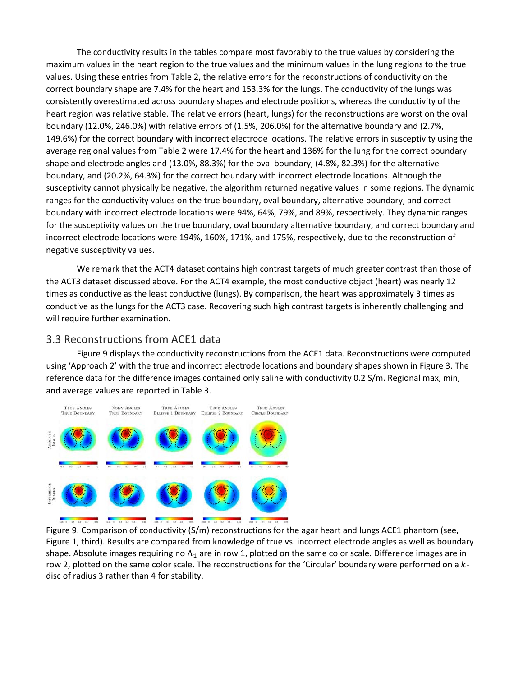The conductivity results in the tables compare most favorably to the true values by considering the maximum values in the heart region to the true values and the minimum values in the lung regions to the true values. Using these entries from Table 2, the relative errors for the reconstructions of conductivity on the correct boundary shape are 7.4% for the heart and 153.3% for the lungs. The conductivity of the lungs was consistently overestimated across boundary shapes and electrode positions, whereas the conductivity of the heart region was relative stable. The relative errors (heart, lungs) for the reconstructions are worst on the oval boundary (12.0%, 246.0%) with relative errors of (1.5%, 206.0%) for the alternative boundary and (2.7%, 149.6%) for the correct boundary with incorrect electrode locations. The relative errors in susceptivity using the average regional values from Table 2 were 17.4% for the heart and 136% for the lung for the correct boundary shape and electrode angles and (13.0%, 88.3%) for the oval boundary, (4.8%, 82.3%) for the alternative boundary, and (20.2%, 64.3%) for the correct boundary with incorrect electrode locations. Although the susceptivity cannot physically be negative, the algorithm returned negative values in some regions. The dynamic ranges for the conductivity values on the true boundary, oval boundary, alternative boundary, and correct boundary with incorrect electrode locations were 94%, 64%, 79%, and 89%, respectively. They dynamic ranges for the susceptivity values on the true boundary, oval boundary alternative boundary, and correct boundary and incorrect electrode locations were 194%, 160%, 171%, and 175%, respectively, due to the reconstruction of negative susceptivity values.

We remark that the ACT4 dataset contains high contrast targets of much greater contrast than those of the ACT3 dataset discussed above. For the ACT4 example, the most conductive object (heart) was nearly 12 times as conductive as the least conductive (lungs). By comparison, the heart was approximately 3 times as conductive as the lungs for the ACT3 case. Recovering such high contrast targets is inherently challenging and will require further examination.

#### 3.3 Reconstructions from ACE1 data

Figure 9 displays the conductivity reconstructions from the ACE1 data. Reconstructions were computed using 'Approach 2' with the true and incorrect electrode locations and boundary shapes shown in Figure 3. The reference data for the difference images contained only saline with conductivity 0.2 S/m. Regional max, min, and average values are reported in Table 3.



Figure 9. Comparison of conductivity (S/m) reconstructions for the agar heart and lungs ACE1 phantom (see, Figure 1, third). Results are compared from knowledge of true vs. incorrect electrode angles as well as boundary shape. Absolute images requiring no  $\Lambda_1$  are in row 1, plotted on the same color scale. Difference images are in row 2, plotted on the same color scale. The reconstructions for the 'Circular' boundary were performed on a  $k$ disc of radius 3 rather than 4 for stability.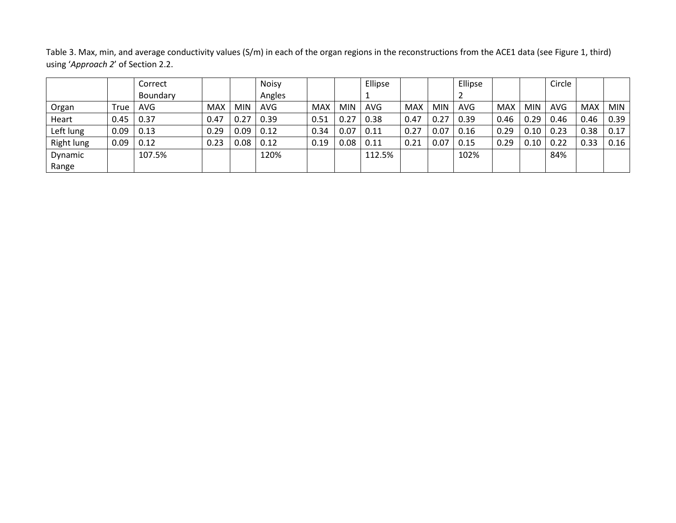Table 3. Max, min, and average conductivity values (S/m) in each of the organ regions in the reconstructions from the ACE1 data (see Figure 1, third) using '*Approach 2*' of Section 2.2.

|            |      | Correct    |            |            | <b>Noisy</b> |            |            | Ellipse    |            |            | Ellipse    |            |            | Circle |            |            |
|------------|------|------------|------------|------------|--------------|------------|------------|------------|------------|------------|------------|------------|------------|--------|------------|------------|
|            |      | Boundary   |            |            | Angles       |            |            |            |            |            |            |            |            |        |            |            |
| Organ      | True | <b>AVG</b> | <b>MAX</b> | <b>MIN</b> | <b>AVG</b>   | <b>MAX</b> | <b>MIN</b> | <b>AVG</b> | <b>MAX</b> | <b>MIN</b> | <b>AVG</b> | <b>MAX</b> | <b>MIN</b> | AVG    | <b>MAX</b> | <b>MIN</b> |
| Heart      | 0.45 | 0.37       | 0.47       | 0.27       | 0.39         | 0.51       | 0.27       | 0.38       | 0.47       | 0.27       | 0.39       | 0.46       | 0.29       | 0.46   | 0.46       | 0.39       |
| Left lung  | 0.09 | 0.13       | 0.29       | 0.09       | 0.12         | 0.34       | 0.07       | 0.11       | 0.27       | 0.07       | 0.16       | 0.29       | 0.10       | 0.23   | 0.38       | 0.17       |
| Right lung | 0.09 | 0.12       | 0.23       | 0.08       | 0.12         | 0.19       | 0.08       | 0.11       | 0.21       | 0.07       | 0.15       | 0.29       | 0.10       | 0.22   | 0.33       | 0.16       |
| Dynamic    |      | 107.5%     |            |            | 120%         |            |            | 112.5%     |            |            | 102%       |            |            | 84%    |            |            |
| Range      |      |            |            |            |              |            |            |            |            |            |            |            |            |        |            |            |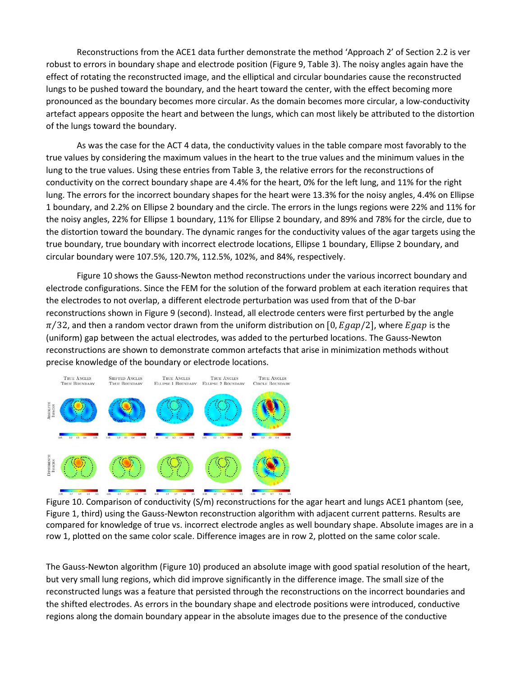Reconstructions from the ACE1 data further demonstrate the method 'Approach 2' of Section 2.2 is ver robust to errors in boundary shape and electrode position (Figure 9, Table 3). The noisy angles again have the effect of rotating the reconstructed image, and the elliptical and circular boundaries cause the reconstructed lungs to be pushed toward the boundary, and the heart toward the center, with the effect becoming more pronounced as the boundary becomes more circular. As the domain becomes more circular, a low-conductivity artefact appears opposite the heart and between the lungs, which can most likely be attributed to the distortion of the lungs toward the boundary.

As was the case for the ACT 4 data, the conductivity values in the table compare most favorably to the true values by considering the maximum values in the heart to the true values and the minimum values in the lung to the true values. Using these entries from Table 3, the relative errors for the reconstructions of conductivity on the correct boundary shape are 4.4% for the heart, 0% for the left lung, and 11% for the right lung. The errors for the incorrect boundary shapes for the heart were 13.3% for the noisy angles, 4.4% on Ellipse 1 boundary, and 2.2% on Ellipse 2 boundary and the circle. The errors in the lungs regions were 22% and 11% for the noisy angles, 22% for Ellipse 1 boundary, 11% for Ellipse 2 boundary, and 89% and 78% for the circle, due to the distortion toward the boundary. The dynamic ranges for the conductivity values of the agar targets using the true boundary, true boundary with incorrect electrode locations, Ellipse 1 boundary, Ellipse 2 boundary, and circular boundary were 107.5%, 120.7%, 112.5%, 102%, and 84%, respectively.

Figure 10 shows the Gauss-Newton method reconstructions under the various incorrect boundary and electrode configurations. Since the FEM for the solution of the forward problem at each iteration requires that the electrodes to not overlap, a different electrode perturbation was used from that of the D-bar reconstructions shown in Figure 9 (second). Instead, all electrode centers were first perturbed by the angle  $\pi/32$ , and then a random vector drawn from the uniform distribution on [0,  $E gap/2$ ], where  $E gap$  is the (uniform) gap between the actual electrodes, was added to the perturbed locations. The Gauss-Newton reconstructions are shown to demonstrate common artefacts that arise in minimization methods without precise knowledge of the boundary or electrode locations.



Figure 10. Comparison of conductivity (S/m) reconstructions for the agar heart and lungs ACE1 phantom (see, Figure 1, third) using the Gauss-Newton reconstruction algorithm with adjacent current patterns. Results are compared for knowledge of true vs. incorrect electrode angles as well boundary shape. Absolute images are in a row 1, plotted on the same color scale. Difference images are in row 2, plotted on the same color scale.

The Gauss-Newton algorithm (Figure 10) produced an absolute image with good spatial resolution of the heart, but very small lung regions, which did improve significantly in the difference image. The small size of the reconstructed lungs was a feature that persisted through the reconstructions on the incorrect boundaries and the shifted electrodes. As errors in the boundary shape and electrode positions were introduced, conductive regions along the domain boundary appear in the absolute images due to the presence of the conductive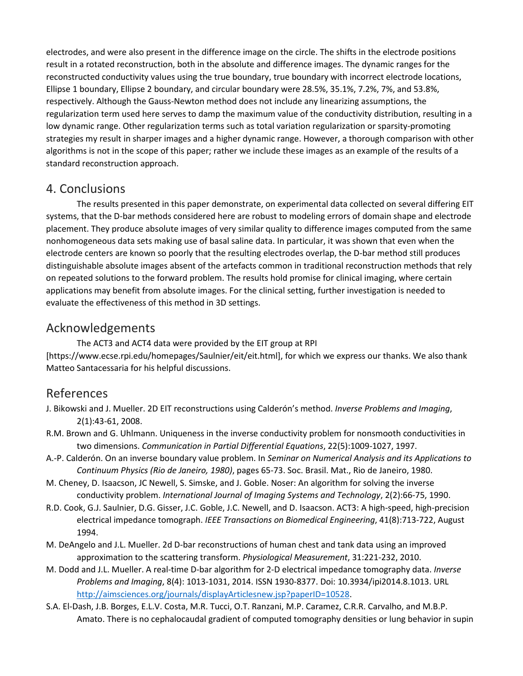electrodes, and were also present in the difference image on the circle. The shifts in the electrode positions result in a rotated reconstruction, both in the absolute and difference images. The dynamic ranges for the reconstructed conductivity values using the true boundary, true boundary with incorrect electrode locations, Ellipse 1 boundary, Ellipse 2 boundary, and circular boundary were 28.5%, 35.1%, 7.2%, 7%, and 53.8%, respectively. Although the Gauss-Newton method does not include any linearizing assumptions, the regularization term used here serves to damp the maximum value of the conductivity distribution, resulting in a low dynamic range. Other regularization terms such as total variation regularization or sparsity-promoting strategies my result in sharper images and a higher dynamic range. However, a thorough comparison with other algorithms is not in the scope of this paper; rather we include these images as an example of the results of a standard reconstruction approach.

## 4. Conclusions

The results presented in this paper demonstrate, on experimental data collected on several differing EIT systems, that the D-bar methods considered here are robust to modeling errors of domain shape and electrode placement. They produce absolute images of very similar quality to difference images computed from the same nonhomogeneous data sets making use of basal saline data. In particular, it was shown that even when the electrode centers are known so poorly that the resulting electrodes overlap, the D-bar method still produces distinguishable absolute images absent of the artefacts common in traditional reconstruction methods that rely on repeated solutions to the forward problem. The results hold promise for clinical imaging, where certain applications may benefit from absolute images. For the clinical setting, further investigation is needed to evaluate the effectiveness of this method in 3D settings.

# Acknowledgements

The ACT3 and ACT4 data were provided by the EIT group at RPI [https://www.ecse.rpi.edu/homepages/Saulnier/eit/eit.html], for which we express our thanks. We also thank Matteo Santacessaria for his helpful discussions.

# References

- J. Bikowski and J. Mueller. 2D EIT reconstructions using Calderón's method. *Inverse Problems and Imaging*, 2(1):43-61, 2008.
- R.M. Brown and G. Uhlmann. Uniqueness in the inverse conductivity problem for nonsmooth conductivities in two dimensions. *Communication in Partial Differential Equations*, 22(5):1009-1027, 1997.
- A.-P. Calderón. On an inverse boundary value problem. In *Seminar on Numerical Analysis and its Applications to Continuum Physics (Rio de Janeiro, 1980)*, pages 65-73. Soc. Brasil. Mat., Rio de Janeiro, 1980.
- M. Cheney, D. Isaacson, JC Newell, S. Simske, and J. Goble. Noser: An algorithm for solving the inverse conductivity problem. *International Journal of Imaging Systems and Technology*, 2(2):66-75, 1990.
- R.D. Cook, G.J. Saulnier, D.G. Gisser, J.C. Goble, J.C. Newell, and D. Isaacson. ACT3: A high-speed, high-precision electrical impedance tomograph. *IEEE Transactions on Biomedical Engineering*, 41(8):713-722, August 1994.
- M. DeAngelo and J.L. Mueller. 2d D-bar reconstructions of human chest and tank data using an improved approximation to the scattering transform. *Physiological Measurement*, 31:221-232, 2010.
- M. Dodd and J.L. Mueller. A real-time D-bar algorithm for 2-D electrical impedance tomography data. *Inverse Problems and Imaging*, 8(4): 1013-1031, 2014. ISSN 1930-8377. Doi: 10.3934/ipi2014.8.1013. URL [http://aimsciences.org/journals/displayArticlesnew.jsp?paperID=10528.](http://aimsciences.org/journals/displayArticlesnew.jsp?paperID=10528)
- S.A. El-Dash, J.B. Borges, E.L.V. Costa, M.R. Tucci, O.T. Ranzani, M.P. Caramez, C.R.R. Carvalho, and M.B.P. Amato. There is no cephalocaudal gradient of computed tomography densities or lung behavior in supin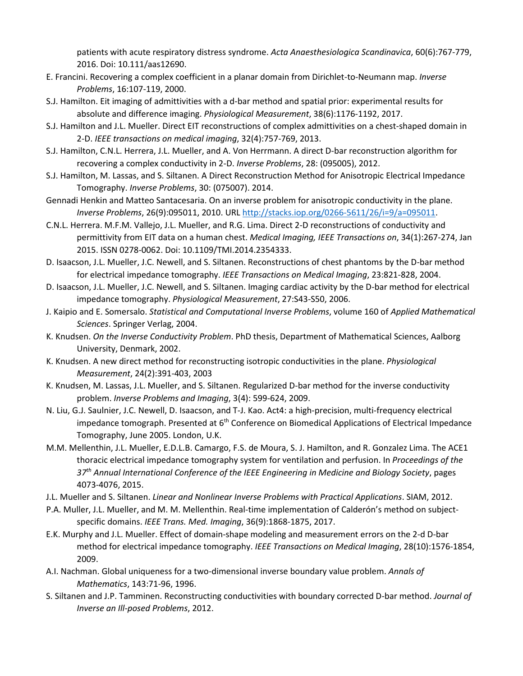patients with acute respiratory distress syndrome. *Acta Anaesthesiologica Scandinavica*, 60(6):767-779, 2016. Doi: 10.111/aas12690.

- E. Francini. Recovering a complex coefficient in a planar domain from Dirichlet-to-Neumann map. *Inverse Problems*, 16:107-119, 2000.
- S.J. Hamilton. Eit imaging of admittivities with a d-bar method and spatial prior: experimental results for absolute and difference imaging. *Physiological Measurement*, 38(6):1176-1192, 2017.
- S.J. Hamilton and J.L. Mueller. Direct EIT reconstructions of complex admittivities on a chest-shaped domain in 2-D. *IEEE transactions on medical imaging*, 32(4):757-769, 2013.
- S.J. Hamilton, C.N.L. Herrera, J.L. Mueller, and A. Von Herrmann. A direct D-bar reconstruction algorithm for recovering a complex conductivity in 2-D. *Inverse Problems*, 28: (095005), 2012.
- S.J. Hamilton, M. Lassas, and S. Siltanen. A Direct Reconstruction Method for Anisotropic Electrical Impedance Tomography. *Inverse Problems*, 30: (075007). 2014.
- Gennadi Henkin and Matteo Santacesaria. On an inverse problem for anisotropic conductivity in the plane. *Inverse Problems*, 26(9):095011, 2010. URL [http://stacks.iop.org/0266-5611/26/i=9/a=095011.](http://stacks.iop.org/0266-5611/26/i=9/a=095011)
- C.N.L. Herrera. M.F.M. Vallejo, J.L. Mueller, and R.G. Lima. Direct 2-D reconstructions of conductivity and permittivity from EIT data on a human chest. *Medical Imaging, IEEE Transactions on*, 34(1):267-274, Jan 2015. ISSN 0278-0062. Doi: 10.1109/TMI.2014.2354333.
- D. Isaacson, J.L. Mueller, J.C. Newell, and S. Siltanen. Reconstructions of chest phantoms by the D-bar method for electrical impedance tomography. *IEEE Transactions on Medical Imaging*, 23:821-828, 2004.
- D. Isaacson, J.L. Mueller, J.C. Newell, and S. Siltanen. Imaging cardiac activity by the D-bar method for electrical impedance tomography. *Physiological Measurement*, 27:S43-S50, 2006.
- J. Kaipio and E. Somersalo. *Statistical and Computational Inverse Problems*, volume 160 of *Applied Mathematical Sciences*. Springer Verlag, 2004.
- K. Knudsen. *On the Inverse Conductivity Problem*. PhD thesis, Department of Mathematical Sciences, Aalborg University, Denmark, 2002.
- K. Knudsen. A new direct method for reconstructing isotropic conductivities in the plane. *Physiological Measurement*, 24(2):391-403, 2003
- K. Knudsen, M. Lassas, J.L. Mueller, and S. Siltanen. Regularized D-bar method for the inverse conductivity problem. *Inverse Problems and Imaging*, 3(4): 599-624, 2009.
- N. Liu, G.J. Saulnier, J.C. Newell, D. Isaacson, and T-J. Kao. Act4: a high-precision, multi-frequency electrical impedance tomograph. Presented at 6<sup>th</sup> Conference on Biomedical Applications of Electrical Impedance Tomography, June 2005. London, U.K.
- M.M. Mellenthin, J.L. Mueller, E.D.L.B. Camargo, F.S. de Moura, S. J. Hamilton, and R. Gonzalez Lima. The ACE1 thoracic electrical impedance tomography system for ventilation and perfusion. In *Proceedings of the 37th Annual International Conference of the IEEE Engineering in Medicine and Biology Society*, pages 4073-4076, 2015.
- J.L. Mueller and S. Siltanen. *Linear and Nonlinear Inverse Problems with Practical Applications*. SIAM, 2012.
- P.A. Muller, J.L. Mueller, and M. M. Mellenthin. Real-time implementation of Calderón's method on subjectspecific domains. *IEEE Trans. Med. Imaging*, 36(9):1868-1875, 2017.
- E.K. Murphy and J.L. Mueller. Effect of domain-shape modeling and measurement errors on the 2-d D-bar method for electrical impedance tomography. *IEEE Transactions on Medical Imaging*, 28(10):1576-1854, 2009.
- A.I. Nachman. Global uniqueness for a two-dimensional inverse boundary value problem. *Annals of Mathematics*, 143:71-96, 1996.
- S. Siltanen and J.P. Tamminen. Reconstructing conductivities with boundary corrected D-bar method. *Journal of Inverse an Ill-posed Problems*, 2012.